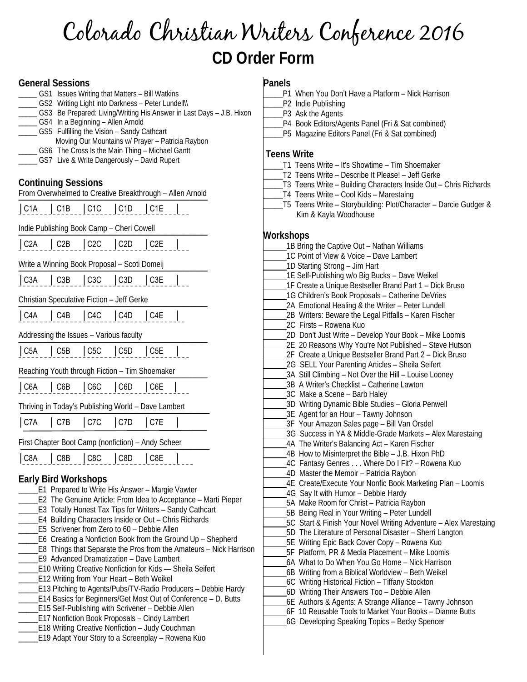# Colorado Christian Writers Conference 2016 **CD Order Form**

- J.B. Hixon

## **General Sessions**

| <b>OUT ISSUES WITHING INCLUDENCE - DILL WAINING</b><br>_GS2 Writing Light into Darkness - Peter Lundell\\<br>GS3 Be Prepared: Living/Writing His Answer in Last Days - J.B. Hiv<br>_ GS4 In a Beginning - Allen Arnold<br>GS5 Fulfilling the Vision - Sandy Cathcart<br>Moving Our Mountains w/ Prayer - Patricia Raybon<br>GS6 The Cross Is the Main Thing - Michael Gantt |
|-----------------------------------------------------------------------------------------------------------------------------------------------------------------------------------------------------------------------------------------------------------------------------------------------------------------------------------------------------------------------------|
| _GS7 Live & Write Dangerously - David Rupert                                                                                                                                                                                                                                                                                                                                |
| <b>Continuing Sessions</b>                                                                                                                                                                                                                                                                                                                                                  |
| From Overwhelmed to Creative Breakthrough - Allen Arnold                                                                                                                                                                                                                                                                                                                    |
| $ $ C1C<br>  C1A   C1B<br>C1D<br>$ $ C1E                                                                                                                                                                                                                                                                                                                                    |
| Indie Publishing Book Camp - Cheri Cowell                                                                                                                                                                                                                                                                                                                                   |
| $ C2A $ $ C2B $ $ C2C $ $ C2D $ $ C2E $                                                                                                                                                                                                                                                                                                                                     |
| Write a Winning Book Proposal - Scoti Domeij                                                                                                                                                                                                                                                                                                                                |
| C3A   C3B   C3C   C3D   C3E                                                                                                                                                                                                                                                                                                                                                 |
| Christian Speculative Fiction - Jeff Gerke                                                                                                                                                                                                                                                                                                                                  |
| C4B   C4C   C4D   C4E<br>  C4A                                                                                                                                                                                                                                                                                                                                              |
| Addressing the Issues - Various faculty                                                                                                                                                                                                                                                                                                                                     |
| C5A   C5B   C5C   C5D<br>C5E                                                                                                                                                                                                                                                                                                                                                |
| Reaching Youth through Fiction - Tim Shoemaker                                                                                                                                                                                                                                                                                                                              |
| C6A   C6B   C6C   C6D   C6E                                                                                                                                                                                                                                                                                                                                                 |
| Thriving in Today's Publishing World - Dave Lambert                                                                                                                                                                                                                                                                                                                         |
| $ $ C7A<br>C7B<br>$ $ C7C<br>$ $ C7D<br>$ $ C7E                                                                                                                                                                                                                                                                                                                             |
| First Chapter Boot Camp (nonfiction) - Andy Scheer                                                                                                                                                                                                                                                                                                                          |
| C8B   C8C   C8D<br> C8E<br>C8A                                                                                                                                                                                                                                                                                                                                              |
| <b>Early Bird Workshops</b><br>_E1 Prepared to Write His Answer - Margie Vawter<br>E2 The Genuine Article: From Idea to Acceptance - Marti Pieper                                                                                                                                                                                                                           |

\_\_\_\_\_ GS1 Issues Writing that Matters – Bill Watkins

#### \_\_\_\_\_E3 Totally Honest Tax Tips for Writers – Sandy Cathcart

- \_\_\_\_\_E4 Building Characters Inside or Out Chris Richards
- \_\_\_\_\_E5 Scrivener from Zero to 60 Debbie Allen
- \_\_\_\_\_E6 Creating a Nonfiction Book from the Ground Up Shepherd
- \_\_\_\_\_E8 Things that Separate the Pros from the Amateurs Nick Harrison
- \_\_\_\_\_E9 Advanced Dramatization Dave Lambert
- \_\_\_\_\_E10 Writing Creative Nonfiction for Kids Sheila Seifert
- \_\_\_\_\_E12 Writing from Your Heart Beth Weikel
- \_\_\_\_\_E13 Pitching to Agents/Pubs/TV-Radio Producers Debbie Hardy
- \_\_\_\_\_E14 Basics for Beginners/Get Most Out of Conference D. Butts
- \_\_\_\_\_E15 Self-Publishing with Scrivener Debbie Allen
- \_\_\_\_\_E17 Nonfiction Book Proposals Cindy Lambert
- \_\_\_\_\_E18 Writing Creative Nonfiction Judy Couchman
- \_\_\_\_\_E19 Adapt Your Story to a Screenplay Rowena Kuo

# **Panels**

- \_\_\_\_\_P1 When You Don't Have a Platform Nick Harrison
- P2 Indie Publishing
- \_\_\_\_\_P3 Ask the Agents
- P4 Book Editors/Agents Panel (Fri & Sat combined)
- \_\_\_\_\_P5 Magazine Editors Panel (Fri & Sat combined)

### **Teens Write**

- T1 Teens Write It's Showtime Tim Shoemaker
- \_\_\_\_\_T2 Teens Write Describe It Please! Jeff Gerke
- \_\_\_\_\_T3 Teens Write Building Characters Inside Out Chris Richards
- \_\_\_\_\_T4 Teens Write Cool Kids Marestaing
- \_\_\_\_\_T5 Teens Write Storybuilding: Plot/Character Darcie Gudger & Kim & Kayla Woodhouse

### **Workshops**

- 1B Bring the Captive Out Nathan Williams
- 1C Point of View & Voice Dave Lambert
- 1D Starting Strong Jim Hart

1E Self-Publishing w/o Big Bucks – Dave Weikel

1F Create a Unique Bestseller Brand Part 1 – Dick Bruso

- 1G Children's Book Proposals Catherine DeVries
- 2A Emotional Healing & the Writer Peter Lundell
- 2B Writers: Beware the Legal Pitfalls Karen Fischer
- 2C Firsts Rowena Kuo
- 2D Don't Just Write Develop Your Book Mike Loomis
- 2E 20 Reasons Why You're Not Published Steve Hutson
- 2F Create a Unique Bestseller Brand Part 2 Dick Bruso
- 2G SELL Your Parenting Articles Sheila Seifert
- 3A Still Climbing Not Over the Hill Louise Looney
- 3B A Writer's Checklist Catherine Lawton
- 3C Make a Scene Barb Haley
- 3D Writing Dynamic Bible Studies Gloria Penwell
- 3E Agent for an Hour Tawny Johnson
- 3F Your Amazon Sales page Bill Van Orsdel
- 3G Success in YA & Middle-Grade Markets Alex Marestaing
- 4A The Writer's Balancing Act Karen Fischer
- 4B How to Misinterpret the Bible J.B. Hixon PhD
- 4C Fantasy Genres . . . Where Do I Fit? Rowena Kuo
- 4D Master the Memoir Patricia Raybon
- 4E Create/Execute Your Nonfic Book Marketing Plan Loomis
- 4G Say It with Humor Debbie Hardy
- 5A Make Room for Christ Patricia Raybon
- 5B Being Real in Your Writing Peter Lundell
- 5C Start & Finish Your Novel Writing Adventure Alex Marestaing
- 5D The Literature of Personal Disaster Sherri Langton
- 5E Writing Epic Back Cover Copy Rowena Kuo
- 5F Platform, PR & Media Placement Mike Loomis
- 6A What to Do When You Go Home Nick Harrison
- 6B Writing from a Biblical Worldview Beth Weikel
- 6C Writing Historical Fiction Tiffany Stockton
- 6D Writing Their Answers Too Debbie Allen
- 6E Authors & Agents: A Strange Alliance Tawny Johnson 6F 10 Reusable Tools to Market Your Books – Dianne Butts
- 6G Developing Speaking Topics Becky Spencer